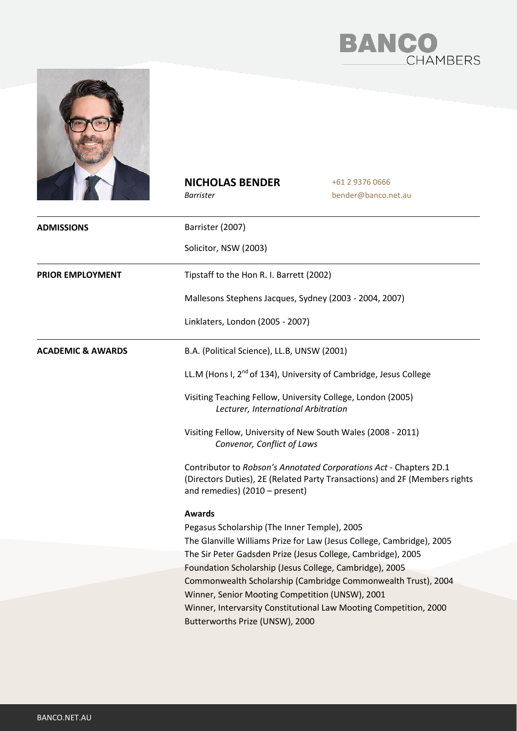



## **NICHOLAS BENDER**

*Barrister*

+61 2 9376 0666 bender@banco.net.au

| <b>ADMISSIONS</b>            | Barrister (2007)                                                                                                                                                                   |
|------------------------------|------------------------------------------------------------------------------------------------------------------------------------------------------------------------------------|
|                              | Solicitor, NSW (2003)                                                                                                                                                              |
| <b>PRIOR EMPLOYMENT</b>      | Tipstaff to the Hon R. I. Barrett (2002)                                                                                                                                           |
|                              | Mallesons Stephens Jacques, Sydney (2003 - 2004, 2007)                                                                                                                             |
|                              | Linklaters, London (2005 - 2007)                                                                                                                                                   |
| <b>ACADEMIC &amp; AWARDS</b> | B.A. (Political Science), LL.B, UNSW (2001)                                                                                                                                        |
|                              | LL.M (Hons I, 2 <sup>nd</sup> of 134), University of Cambridge, Jesus College                                                                                                      |
|                              | Visiting Teaching Fellow, University College, London (2005)<br>Lecturer, International Arbitration                                                                                 |
|                              | Visiting Fellow, University of New South Wales (2008 - 2011)<br>Convenor, Conflict of Laws                                                                                         |
|                              | Contributor to Robson's Annotated Corporations Act - Chapters 2D.1<br>(Directors Duties), 2E (Related Party Transactions) and 2F (Members rights<br>and remedies) (2010 - present) |
|                              | <b>Awards</b>                                                                                                                                                                      |
|                              | Pegasus Scholarship (The Inner Temple), 2005                                                                                                                                       |
|                              | The Glanville Williams Prize for Law (Jesus College, Cambridge), 2005                                                                                                              |
|                              | The Sir Peter Gadsden Prize (Jesus College, Cambridge), 2005                                                                                                                       |
|                              | Foundation Scholarship (Jesus College, Cambridge), 2005                                                                                                                            |
|                              | Commonwealth Scholarship (Cambridge Commonwealth Trust), 2004                                                                                                                      |
|                              | Winner, Senior Mooting Competition (UNSW), 2001                                                                                                                                    |
|                              | Winner, Intervarsity Constitutional Law Mooting Competition, 2000                                                                                                                  |
|                              | Butterworths Prize (UNSW), 2000                                                                                                                                                    |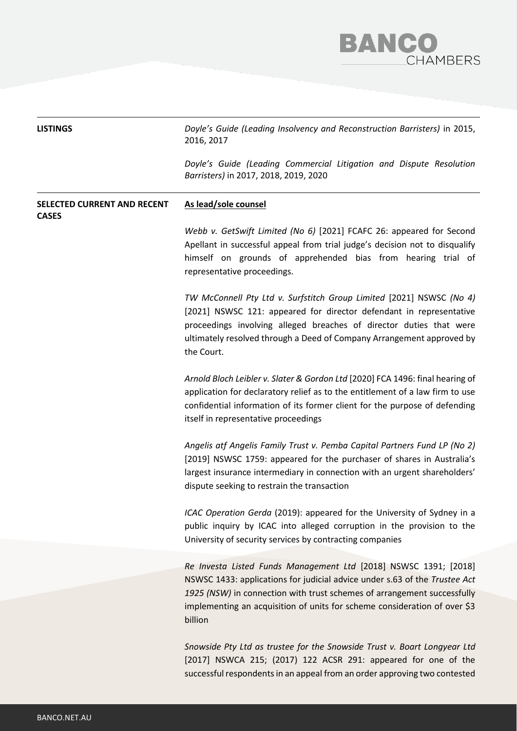

| <b>LISTINGS</b>                                    | Doyle's Guide (Leading Insolvency and Reconstruction Barristers) in 2015,<br>2016, 2017                                                                                                                                                                                                                           |
|----------------------------------------------------|-------------------------------------------------------------------------------------------------------------------------------------------------------------------------------------------------------------------------------------------------------------------------------------------------------------------|
|                                                    | Doyle's Guide (Leading Commercial Litigation and Dispute Resolution<br>Barristers) in 2017, 2018, 2019, 2020                                                                                                                                                                                                      |
| <b>SELECTED CURRENT AND RECENT</b><br><b>CASES</b> | As lead/sole counsel                                                                                                                                                                                                                                                                                              |
|                                                    | Webb v. GetSwift Limited (No 6) [2021] FCAFC 26: appeared for Second<br>Apellant in successful appeal from trial judge's decision not to disqualify<br>himself on grounds of apprehended bias from hearing trial of<br>representative proceedings.                                                                |
|                                                    | TW McConnell Pty Ltd v. Surfstitch Group Limited [2021] NSWSC (No 4)<br>[2021] NSWSC 121: appeared for director defendant in representative<br>proceedings involving alleged breaches of director duties that were<br>ultimately resolved through a Deed of Company Arrangement approved by<br>the Court.         |
|                                                    | Arnold Bloch Leibler v. Slater & Gordon Ltd [2020] FCA 1496: final hearing of<br>application for declaratory relief as to the entitlement of a law firm to use<br>confidential information of its former client for the purpose of defending<br>itself in representative proceedings                              |
|                                                    | Angelis atf Angelis Family Trust v. Pemba Capital Partners Fund LP (No 2)<br>[2019] NSWSC 1759: appeared for the purchaser of shares in Australia's<br>largest insurance intermediary in connection with an urgent shareholders'<br>dispute seeking to restrain the transaction                                   |
|                                                    | ICAC Operation Gerda (2019): appeared for the University of Sydney in a<br>public inquiry by ICAC into alleged corruption in the provision to the<br>University of security services by contracting companies                                                                                                     |
|                                                    | Re Investa Listed Funds Management Ltd [2018] NSWSC 1391; [2018]<br>NSWSC 1433: applications for judicial advice under s.63 of the Trustee Act<br>1925 (NSW) in connection with trust schemes of arrangement successfully<br>implementing an acquisition of units for scheme consideration of over \$3<br>billion |
|                                                    | Snowside Pty Ltd as trustee for the Snowside Trust v. Boart Longyear Ltd<br>[2017] NSWCA 215; (2017) 122 ACSR 291: appeared for one of the<br>successful respondents in an appeal from an order approving two contested                                                                                           |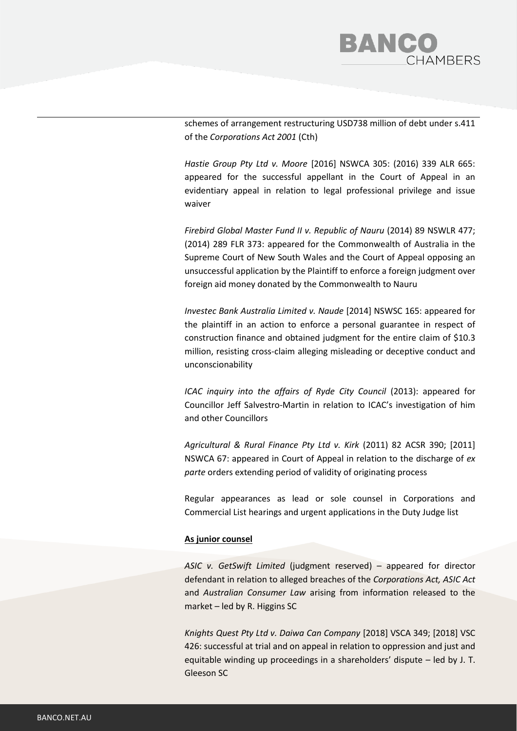

schemes of arrangement restructuring USD738 million of debt under s.411 of the *Corporations Act 2001* (Cth)

*Hastie Group Pty Ltd v. Moore* [2016] NSWCA 305: (2016) 339 ALR 665: appeared for the successful appellant in the Court of Appeal in an evidentiary appeal in relation to legal professional privilege and issue waiver

*Firebird Global Master Fund II v. Republic of Nauru* (2014) 89 NSWLR 477; (2014) 289 FLR 373: appeared for the Commonwealth of Australia in the Supreme Court of New South Wales and the Court of Appeal opposing an unsuccessful application by the Plaintiff to enforce a foreign judgment over foreign aid money donated by the Commonwealth to Nauru

*Investec Bank Australia Limited v. Naude* [2014] NSWSC 165: appeared for the plaintiff in an action to enforce a personal guarantee in respect of construction finance and obtained judgment for the entire claim of \$10.3 million, resisting cross-claim alleging misleading or deceptive conduct and unconscionability

*ICAC inquiry into the affairs of Ryde City Council* (2013): appeared for Councillor Jeff Salvestro-Martin in relation to ICAC's investigation of him and other Councillors

*Agricultural & Rural Finance Pty Ltd v. Kirk* (2011) 82 ACSR 390; [2011] NSWCA 67: appeared in Court of Appeal in relation to the discharge of *ex parte* orders extending period of validity of originating process

Regular appearances as lead or sole counsel in Corporations and Commercial List hearings and urgent applications in the Duty Judge list

## **As junior counsel**

*ASIC v. GetSwift Limited* (judgment reserved) – appeared for director defendant in relation to alleged breaches of the *Corporations Act, ASIC Act*  and *Australian Consumer Law* arising from information released to the market – led by R. Higgins SC

*Knights Quest Pty Ltd v. Daiwa Can Company* [2018] VSCA 349; [2018] VSC 426: successful at trial and on appeal in relation to oppression and just and equitable winding up proceedings in a shareholders' dispute – led by J. T. Gleeson SC